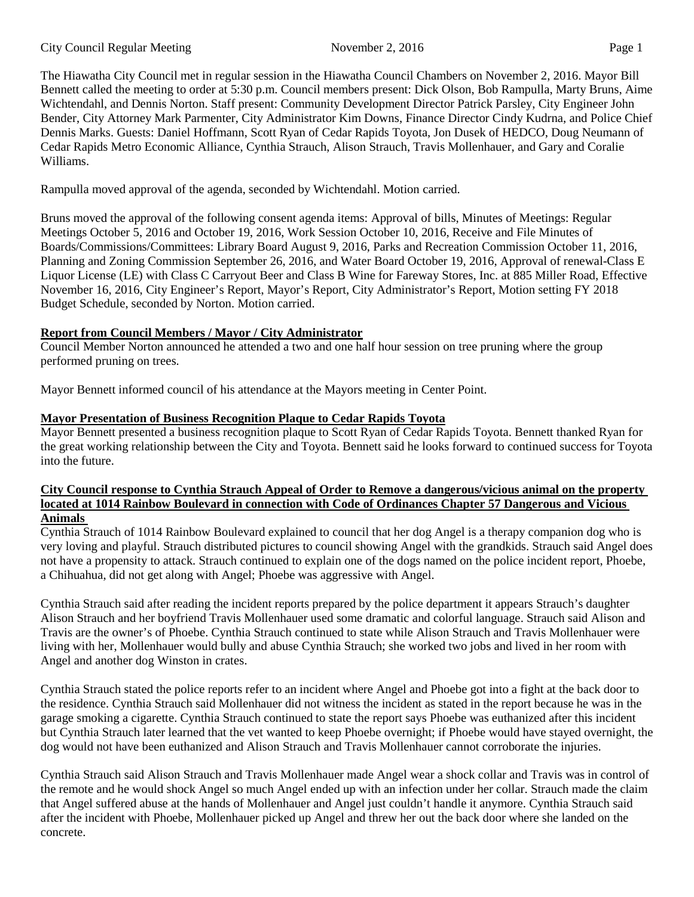The Hiawatha City Council met in regular session in the Hiawatha Council Chambers on November 2, 2016. Mayor Bill Bennett called the meeting to order at 5:30 p.m. Council members present: Dick Olson, Bob Rampulla, Marty Bruns, Aime Wichtendahl, and Dennis Norton. Staff present: Community Development Director Patrick Parsley, City Engineer John Bender, City Attorney Mark Parmenter, City Administrator Kim Downs, Finance Director Cindy Kudrna, and Police Chief Dennis Marks. Guests: Daniel Hoffmann, Scott Ryan of Cedar Rapids Toyota, Jon Dusek of HEDCO, Doug Neumann of Cedar Rapids Metro Economic Alliance, Cynthia Strauch, Alison Strauch, Travis Mollenhauer, and Gary and Coralie Williams.

Rampulla moved approval of the agenda, seconded by Wichtendahl. Motion carried.

Bruns moved the approval of the following consent agenda items: Approval of bills, Minutes of Meetings: Regular Meetings October 5, 2016 and October 19, 2016, Work Session October 10, 2016, Receive and File Minutes of Boards/Commissions/Committees: Library Board August 9, 2016, Parks and Recreation Commission October 11, 2016, Planning and Zoning Commission September 26, 2016, and Water Board October 19, 2016, Approval of renewal-Class E Liquor License (LE) with Class C Carryout Beer and Class B Wine for Fareway Stores, Inc. at 885 Miller Road, Effective November 16, 2016, City Engineer's Report, Mayor's Report, City Administrator's Report, Motion setting FY 2018 Budget Schedule, seconded by Norton. Motion carried.

# **Report from Council Members / Mayor / City Administrator**

Council Member Norton announced he attended a two and one half hour session on tree pruning where the group performed pruning on trees.

Mayor Bennett informed council of his attendance at the Mayors meeting in Center Point.

## **Mayor Presentation of Business Recognition Plaque to Cedar Rapids Toyota**

Mayor Bennett presented a business recognition plaque to Scott Ryan of Cedar Rapids Toyota. Bennett thanked Ryan for the great working relationship between the City and Toyota. Bennett said he looks forward to continued success for Toyota into the future.

#### **City Council response to Cynthia Strauch Appeal of Order to Remove a dangerous/vicious animal on the property located at 1014 Rainbow Boulevard in connection with Code of Ordinances Chapter 57 Dangerous and Vicious Animals**

Cynthia Strauch of 1014 Rainbow Boulevard explained to council that her dog Angel is a therapy companion dog who is very loving and playful. Strauch distributed pictures to council showing Angel with the grandkids. Strauch said Angel does not have a propensity to attack. Strauch continued to explain one of the dogs named on the police incident report, Phoebe, a Chihuahua, did not get along with Angel; Phoebe was aggressive with Angel.

Cynthia Strauch said after reading the incident reports prepared by the police department it appears Strauch's daughter Alison Strauch and her boyfriend Travis Mollenhauer used some dramatic and colorful language. Strauch said Alison and Travis are the owner's of Phoebe. Cynthia Strauch continued to state while Alison Strauch and Travis Mollenhauer were living with her, Mollenhauer would bully and abuse Cynthia Strauch; she worked two jobs and lived in her room with Angel and another dog Winston in crates.

Cynthia Strauch stated the police reports refer to an incident where Angel and Phoebe got into a fight at the back door to the residence. Cynthia Strauch said Mollenhauer did not witness the incident as stated in the report because he was in the garage smoking a cigarette. Cynthia Strauch continued to state the report says Phoebe was euthanized after this incident but Cynthia Strauch later learned that the vet wanted to keep Phoebe overnight; if Phoebe would have stayed overnight, the dog would not have been euthanized and Alison Strauch and Travis Mollenhauer cannot corroborate the injuries.

Cynthia Strauch said Alison Strauch and Travis Mollenhauer made Angel wear a shock collar and Travis was in control of the remote and he would shock Angel so much Angel ended up with an infection under her collar. Strauch made the claim that Angel suffered abuse at the hands of Mollenhauer and Angel just couldn't handle it anymore. Cynthia Strauch said after the incident with Phoebe, Mollenhauer picked up Angel and threw her out the back door where she landed on the concrete.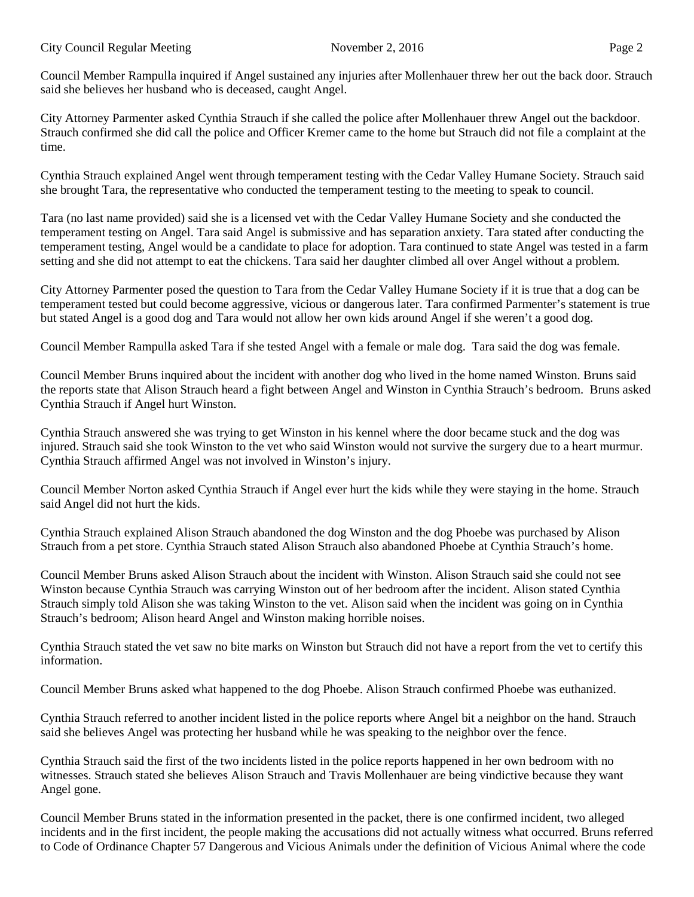Council Member Rampulla inquired if Angel sustained any injuries after Mollenhauer threw her out the back door. Strauch said she believes her husband who is deceased, caught Angel.

City Attorney Parmenter asked Cynthia Strauch if she called the police after Mollenhauer threw Angel out the backdoor. Strauch confirmed she did call the police and Officer Kremer came to the home but Strauch did not file a complaint at the time.

Cynthia Strauch explained Angel went through temperament testing with the Cedar Valley Humane Society. Strauch said she brought Tara, the representative who conducted the temperament testing to the meeting to speak to council.

Tara (no last name provided) said she is a licensed vet with the Cedar Valley Humane Society and she conducted the temperament testing on Angel. Tara said Angel is submissive and has separation anxiety. Tara stated after conducting the temperament testing, Angel would be a candidate to place for adoption. Tara continued to state Angel was tested in a farm setting and she did not attempt to eat the chickens. Tara said her daughter climbed all over Angel without a problem.

City Attorney Parmenter posed the question to Tara from the Cedar Valley Humane Society if it is true that a dog can be temperament tested but could become aggressive, vicious or dangerous later. Tara confirmed Parmenter's statement is true but stated Angel is a good dog and Tara would not allow her own kids around Angel if she weren't a good dog.

Council Member Rampulla asked Tara if she tested Angel with a female or male dog. Tara said the dog was female.

Council Member Bruns inquired about the incident with another dog who lived in the home named Winston. Bruns said the reports state that Alison Strauch heard a fight between Angel and Winston in Cynthia Strauch's bedroom. Bruns asked Cynthia Strauch if Angel hurt Winston.

Cynthia Strauch answered she was trying to get Winston in his kennel where the door became stuck and the dog was injured. Strauch said she took Winston to the vet who said Winston would not survive the surgery due to a heart murmur. Cynthia Strauch affirmed Angel was not involved in Winston's injury.

Council Member Norton asked Cynthia Strauch if Angel ever hurt the kids while they were staying in the home. Strauch said Angel did not hurt the kids.

Cynthia Strauch explained Alison Strauch abandoned the dog Winston and the dog Phoebe was purchased by Alison Strauch from a pet store. Cynthia Strauch stated Alison Strauch also abandoned Phoebe at Cynthia Strauch's home.

Council Member Bruns asked Alison Strauch about the incident with Winston. Alison Strauch said she could not see Winston because Cynthia Strauch was carrying Winston out of her bedroom after the incident. Alison stated Cynthia Strauch simply told Alison she was taking Winston to the vet. Alison said when the incident was going on in Cynthia Strauch's bedroom; Alison heard Angel and Winston making horrible noises.

Cynthia Strauch stated the vet saw no bite marks on Winston but Strauch did not have a report from the vet to certify this information.

Council Member Bruns asked what happened to the dog Phoebe. Alison Strauch confirmed Phoebe was euthanized.

Cynthia Strauch referred to another incident listed in the police reports where Angel bit a neighbor on the hand. Strauch said she believes Angel was protecting her husband while he was speaking to the neighbor over the fence.

Cynthia Strauch said the first of the two incidents listed in the police reports happened in her own bedroom with no witnesses. Strauch stated she believes Alison Strauch and Travis Mollenhauer are being vindictive because they want Angel gone.

Council Member Bruns stated in the information presented in the packet, there is one confirmed incident, two alleged incidents and in the first incident, the people making the accusations did not actually witness what occurred. Bruns referred to Code of Ordinance Chapter 57 Dangerous and Vicious Animals under the definition of Vicious Animal where the code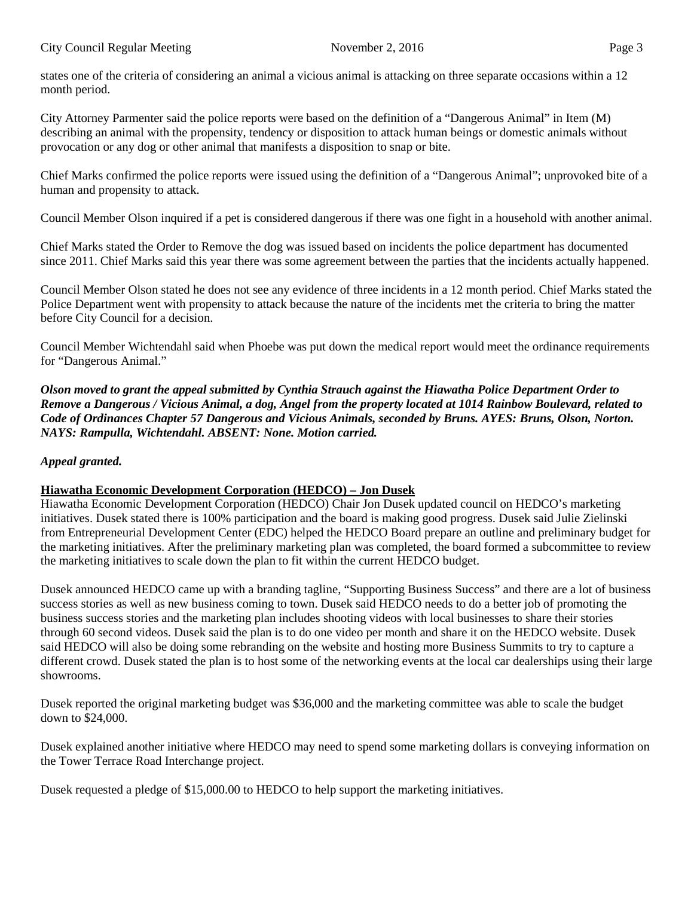states one of the criteria of considering an animal a vicious animal is attacking on three separate occasions within a 12 month period.

City Attorney Parmenter said the police reports were based on the definition of a "Dangerous Animal" in Item (M) describing an animal with the propensity, tendency or disposition to attack human beings or domestic animals without provocation or any dog or other animal that manifests a disposition to snap or bite.

Chief Marks confirmed the police reports were issued using the definition of a "Dangerous Animal"; unprovoked bite of a human and propensity to attack.

Council Member Olson inquired if a pet is considered dangerous if there was one fight in a household with another animal.

Chief Marks stated the Order to Remove the dog was issued based on incidents the police department has documented since 2011. Chief Marks said this year there was some agreement between the parties that the incidents actually happened.

Council Member Olson stated he does not see any evidence of three incidents in a 12 month period. Chief Marks stated the Police Department went with propensity to attack because the nature of the incidents met the criteria to bring the matter before City Council for a decision.

Council Member Wichtendahl said when Phoebe was put down the medical report would meet the ordinance requirements for "Dangerous Animal."

*Olson moved to grant the appeal submitted by Cynthia Strauch against the Hiawatha Police Department Order to Remove a Dangerous / Vicious Animal, a dog, Angel from the property located at 1014 Rainbow Boulevard, related to Code of Ordinances Chapter 57 Dangerous and Vicious Animals, seconded by Bruns. AYES: Bruns, Olson, Norton. NAYS: Rampulla, Wichtendahl. ABSENT: None. Motion carried.* 

### *Appeal granted.*

### **Hiawatha Economic Development Corporation (HEDCO) – Jon Dusek**

Hiawatha Economic Development Corporation (HEDCO) Chair Jon Dusek updated council on HEDCO's marketing initiatives. Dusek stated there is 100% participation and the board is making good progress. Dusek said Julie Zielinski from Entrepreneurial Development Center (EDC) helped the HEDCO Board prepare an outline and preliminary budget for the marketing initiatives. After the preliminary marketing plan was completed, the board formed a subcommittee to review the marketing initiatives to scale down the plan to fit within the current HEDCO budget.

Dusek announced HEDCO came up with a branding tagline, "Supporting Business Success" and there are a lot of business success stories as well as new business coming to town. Dusek said HEDCO needs to do a better job of promoting the business success stories and the marketing plan includes shooting videos with local businesses to share their stories through 60 second videos. Dusek said the plan is to do one video per month and share it on the HEDCO website. Dusek said HEDCO will also be doing some rebranding on the website and hosting more Business Summits to try to capture a different crowd. Dusek stated the plan is to host some of the networking events at the local car dealerships using their large showrooms.

Dusek reported the original marketing budget was \$36,000 and the marketing committee was able to scale the budget down to \$24,000.

Dusek explained another initiative where HEDCO may need to spend some marketing dollars is conveying information on the Tower Terrace Road Interchange project.

Dusek requested a pledge of \$15,000.00 to HEDCO to help support the marketing initiatives.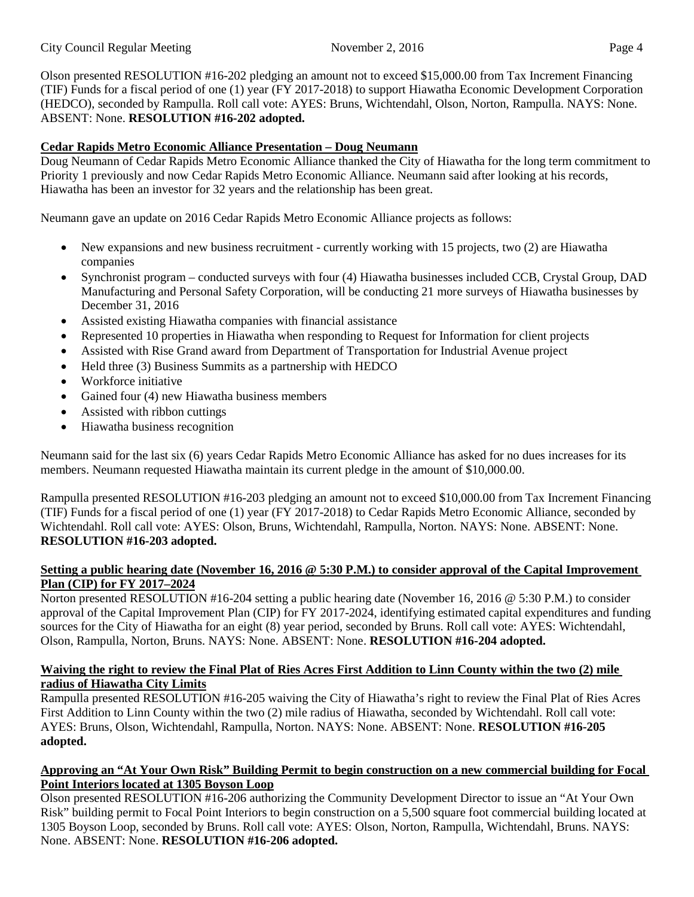Olson presented RESOLUTION #16-202 pledging an amount not to exceed \$15,000.00 from Tax Increment Financing (TIF) Funds for a fiscal period of one (1) year (FY 2017-2018) to support Hiawatha Economic Development Corporation (HEDCO), seconded by Rampulla. Roll call vote: AYES: Bruns, Wichtendahl, Olson, Norton, Rampulla. NAYS: None. ABSENT: None. **RESOLUTION #16-202 adopted.**

# **Cedar Rapids Metro Economic Alliance Presentation – Doug Neumann**

Doug Neumann of Cedar Rapids Metro Economic Alliance thanked the City of Hiawatha for the long term commitment to Priority 1 previously and now Cedar Rapids Metro Economic Alliance. Neumann said after looking at his records, Hiawatha has been an investor for 32 years and the relationship has been great.

Neumann gave an update on 2016 Cedar Rapids Metro Economic Alliance projects as follows:

- New expansions and new business recruitment currently working with 15 projects, two (2) are Hiawatha companies
- Synchronist program conducted surveys with four (4) Hiawatha businesses included CCB, Crystal Group, DAD Manufacturing and Personal Safety Corporation, will be conducting 21 more surveys of Hiawatha businesses by December 31, 2016
- Assisted existing Hiawatha companies with financial assistance
- Represented 10 properties in Hiawatha when responding to Request for Information for client projects
- Assisted with Rise Grand award from Department of Transportation for Industrial Avenue project
- Held three (3) Business Summits as a partnership with HEDCO
- Workforce initiative
- Gained four (4) new Hiawatha business members
- Assisted with ribbon cuttings
- Hiawatha business recognition

Neumann said for the last six (6) years Cedar Rapids Metro Economic Alliance has asked for no dues increases for its members. Neumann requested Hiawatha maintain its current pledge in the amount of \$10,000.00.

Rampulla presented RESOLUTION #16-203 pledging an amount not to exceed \$10,000.00 from Tax Increment Financing (TIF) Funds for a fiscal period of one (1) year (FY 2017-2018) to Cedar Rapids Metro Economic Alliance, seconded by Wichtendahl. Roll call vote: AYES: Olson, Bruns, Wichtendahl, Rampulla, Norton. NAYS: None. ABSENT: None. **RESOLUTION #16-203 adopted.**

### **Setting a public hearing date (November 16, 2016 @ 5:30 P.M.) to consider approval of the Capital Improvement Plan (CIP) for FY 2017–2024**

Norton presented RESOLUTION #16-204 setting a public hearing date (November 16, 2016 @ 5:30 P.M.) to consider approval of the Capital Improvement Plan (CIP) for FY 2017-2024, identifying estimated capital expenditures and funding sources for the City of Hiawatha for an eight (8) year period, seconded by Bruns. Roll call vote: AYES: Wichtendahl, Olson, Rampulla, Norton, Bruns. NAYS: None. ABSENT: None. **RESOLUTION #16-204 adopted.**

## **Waiving the right to review the Final Plat of Ries Acres First Addition to Linn County within the two (2) mile radius of Hiawatha City Limits**

Rampulla presented RESOLUTION #16-205 waiving the City of Hiawatha's right to review the Final Plat of Ries Acres First Addition to Linn County within the two (2) mile radius of Hiawatha, seconded by Wichtendahl. Roll call vote: AYES: Bruns, Olson, Wichtendahl, Rampulla, Norton. NAYS: None. ABSENT: None. **RESOLUTION #16-205 adopted.**

### **Approving an "At Your Own Risk" Building Permit to begin construction on a new commercial building for Focal Point Interiors located at 1305 Boyson Loop**

Olson presented RESOLUTION #16-206 authorizing the Community Development Director to issue an "At Your Own Risk" building permit to Focal Point Interiors to begin construction on a 5,500 square foot commercial building located at 1305 Boyson Loop, seconded by Bruns. Roll call vote: AYES: Olson, Norton, Rampulla, Wichtendahl, Bruns. NAYS: None. ABSENT: None. **RESOLUTION #16-206 adopted.**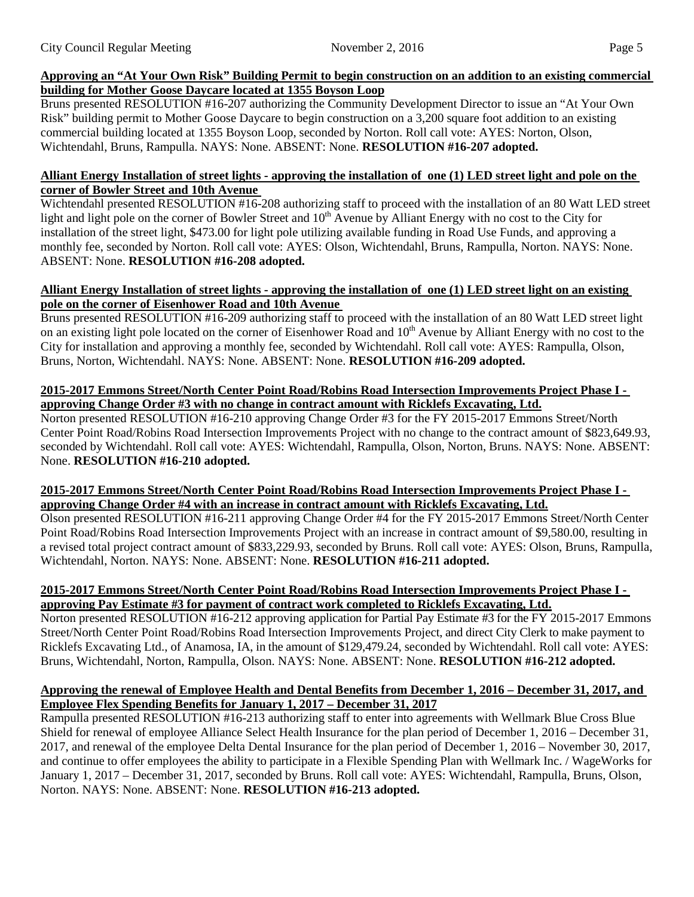## **Approving an "At Your Own Risk" Building Permit to begin construction on an addition to an existing commercial building for Mother Goose Daycare located at 1355 Boyson Loop**

Bruns presented RESOLUTION #16-207 authorizing the Community Development Director to issue an "At Your Own Risk" building permit to Mother Goose Daycare to begin construction on a 3,200 square foot addition to an existing commercial building located at 1355 Boyson Loop, seconded by Norton. Roll call vote: AYES: Norton, Olson, Wichtendahl, Bruns, Rampulla. NAYS: None. ABSENT: None. **RESOLUTION #16-207 adopted.**

### **Alliant Energy Installation of street lights - approving the installation of one (1) LED street light and pole on the corner of Bowler Street and 10th Avenue**

Wichtendahl presented RESOLUTION #16-208 authorizing staff to proceed with the installation of an 80 Watt LED street light and light pole on the corner of Bowler Street and  $10<sup>th</sup>$  Avenue by Alliant Energy with no cost to the City for installation of the street light, \$473.00 for light pole utilizing available funding in Road Use Funds, and approving a monthly fee, seconded by Norton. Roll call vote: AYES: Olson, Wichtendahl, Bruns, Rampulla, Norton. NAYS: None. ABSENT: None. **RESOLUTION #16-208 adopted.**

#### **Alliant Energy Installation of street lights - approving the installation of one (1) LED street light on an existing pole on the corner of Eisenhower Road and 10th Avenue**

Bruns presented RESOLUTION #16-209 authorizing staff to proceed with the installation of an 80 Watt LED street light on an existing light pole located on the corner of Eisenhower Road and 10<sup>th</sup> Avenue by Alliant Energy with no cost to the City for installation and approving a monthly fee, seconded by Wichtendahl. Roll call vote: AYES: Rampulla, Olson, Bruns, Norton, Wichtendahl. NAYS: None. ABSENT: None. **RESOLUTION #16-209 adopted.**

### **2015-2017 Emmons Street/North Center Point Road/Robins Road Intersection Improvements Project Phase I approving Change Order #3 with no change in contract amount with Ricklefs Excavating, Ltd.**

Norton presented RESOLUTION #16-210 approving Change Order #3 for the FY 2015-2017 Emmons Street/North Center Point Road/Robins Road Intersection Improvements Project with no change to the contract amount of \$823,649.93, seconded by Wichtendahl. Roll call vote: AYES: Wichtendahl, Rampulla, Olson, Norton, Bruns. NAYS: None. ABSENT: None. **RESOLUTION #16-210 adopted.**

### **2015-2017 Emmons Street/North Center Point Road/Robins Road Intersection Improvements Project Phase I approving Change Order #4 with an increase in contract amount with Ricklefs Excavating, Ltd.**

Olson presented RESOLUTION #16-211 approving Change Order #4 for the FY 2015-2017 Emmons Street/North Center Point Road/Robins Road Intersection Improvements Project with an increase in contract amount of \$9,580.00, resulting in a revised total project contract amount of \$833,229.93, seconded by Bruns. Roll call vote: AYES: Olson, Bruns, Rampulla, Wichtendahl, Norton. NAYS: None. ABSENT: None. **RESOLUTION #16-211 adopted.**

### **2015-2017 Emmons Street/North Center Point Road/Robins Road Intersection Improvements Project Phase I approving Pay Estimate #3 for payment of contract work completed to Ricklefs Excavating, Ltd.**

Norton presented RESOLUTION #16-212 approving application for Partial Pay Estimate #3 for the FY 2015-2017 Emmons Street/North Center Point Road/Robins Road Intersection Improvements Project, and direct City Clerk to make payment to Ricklefs Excavating Ltd., of Anamosa, IA, in the amount of \$129,479.24, seconded by Wichtendahl. Roll call vote: AYES: Bruns, Wichtendahl, Norton, Rampulla, Olson. NAYS: None. ABSENT: None. **RESOLUTION #16-212 adopted.**

## **Approving the renewal of Employee Health and Dental Benefits from December 1, 2016 – December 31, 2017, and Employee Flex Spending Benefits for January 1, 2017 – December 31, 2017**

Rampulla presented RESOLUTION #16-213 authorizing staff to enter into agreements with Wellmark Blue Cross Blue Shield for renewal of employee Alliance Select Health Insurance for the plan period of December 1, 2016 – December 31, 2017, and renewal of the employee Delta Dental Insurance for the plan period of December 1, 2016 – November 30, 2017, and continue to offer employees the ability to participate in a Flexible Spending Plan with Wellmark Inc. / WageWorks for January 1, 2017 – December 31, 2017, seconded by Bruns. Roll call vote: AYES: Wichtendahl, Rampulla, Bruns, Olson, Norton. NAYS: None. ABSENT: None. **RESOLUTION #16-213 adopted.**